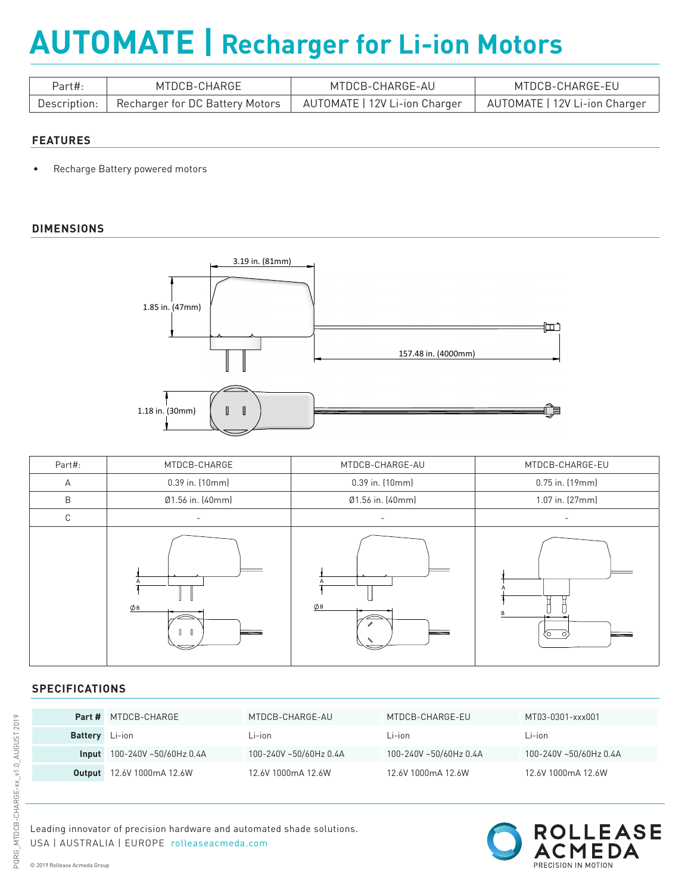# **AUTOMATE | Recharger for Li-ion Motors**

| Part#: | MTDCB-CHARGE                                                                       | MTDCB-CHARGE-AU                                               | MTDCB-CHARGE-EU |
|--------|------------------------------------------------------------------------------------|---------------------------------------------------------------|-----------------|
|        | $^\mathrm{+}$ Description: $\parallel$ Recharger for DC Battery Motors $\parallel$ | AUTOMATE   12V Li-ion Charger   AUTOMATE   12V Li-ion Charger |                 |

### **FEATURES**

• Recharge Battery powered motors

## **DIMENSIONS**



| Part#: | MTDCB-CHARGE       | MTDCB-CHARGE-AU  | MTDCB-CHARGE-EU |
|--------|--------------------|------------------|-----------------|
| A      | 0.39 in. (10mm)    | 0.39 in. (10mm)  | 0.75 in. (19mm) |
| B      | Ø1.56 in. (40mm)   | Ø1.56 in. (40mm) | 1.07 in. (27mm) |
| С      |                    |                  |                 |
|        | Øв<br>$\mathbb{I}$ | Øв               | ″∩ ∶            |

## **SPECIFICATIONS**

|                       | <b>Part # MTDCB-CHARGE</b>       | MTDCB-CHARGE-AU        | MTDCB-CHARGE-EU        | MT03-0301-xxx001       |
|-----------------------|----------------------------------|------------------------|------------------------|------------------------|
| <b>Battery</b> Li-ion |                                  | Li-ion                 | Li-ion                 | Li-ion                 |
|                       | $Input$ 100-240V ~50/60Hz 0.4A   | 100-240V ~50/60Hz 0.4A | 100-240V ~50/60Hz 0.4A | 100-240V ~50/60Hz 0.4A |
|                       | <b>Output</b> 12.6V 1000mA 12.6W | 12.6V 1000mA 12.6W     | 12.6V 1000mA 12.6W     | 12.6V 1000mA 12.6W     |

Leading innovator of precision hardware and automated shade solutions. USA | AUSTRALIA | EUROPE rolleaseacmeda.com